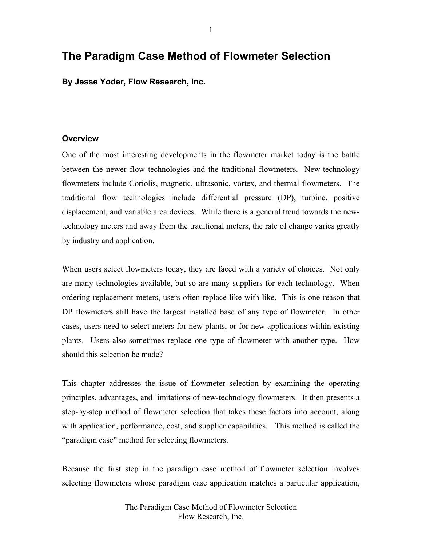# **The Paradigm Case Method of Flowmeter Selection**

**By Jesse Yoder, Flow Research, Inc.** 

## **Overview**

One of the most interesting developments in the flowmeter market today is the battle between the newer flow technologies and the traditional flowmeters. New-technology flowmeters include Coriolis, magnetic, ultrasonic, vortex, and thermal flowmeters. The traditional flow technologies include differential pressure (DP), turbine, positive displacement, and variable area devices. While there is a general trend towards the newtechnology meters and away from the traditional meters, the rate of change varies greatly by industry and application.

When users select flowmeters today, they are faced with a variety of choices. Not only are many technologies available, but so are many suppliers for each technology. When ordering replacement meters, users often replace like with like. This is one reason that DP flowmeters still have the largest installed base of any type of flowmeter. In other cases, users need to select meters for new plants, or for new applications within existing plants. Users also sometimes replace one type of flowmeter with another type. How should this selection be made?

This chapter addresses the issue of flowmeter selection by examining the operating principles, advantages, and limitations of new-technology flowmeters. It then presents a step-by-step method of flowmeter selection that takes these factors into account, along with application, performance, cost, and supplier capabilities. This method is called the "paradigm case" method for selecting flowmeters.

Because the first step in the paradigm case method of flowmeter selection involves selecting flowmeters whose paradigm case application matches a particular application,

> The Paradigm Case Method of Flowmeter Selection Flow Research, Inc.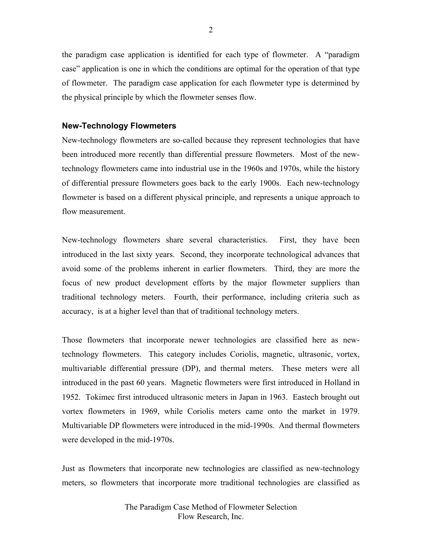the paradigm case application is identified for each type of flowmeter. A "paradigm case" application is one in which the conditions are optimal for the operation of that type of flowmeter. The paradigm case application for each flowmeter type is determined by the physical principle by which the flowmeter senses flow.

## **New-Technology Flowmeters**

New-technology flowmeters are so-called because they represent technologies that have been introduced more recently than differential pressure flowmeters. Most of the newtechnology flowmeters came into industrial use in the 1960s and 1970s, while the history of differential pressure flowmeters goes back to the early 1900s. Each new-technology flowmeter is based on a different physical principle, and represents a unique approach to flow measurement.

New-technology flowmeters share several characteristics. First, they have been introduced in the last sixty years. Second, they incorporate technological advances that avoid some of the problems inherent in earlier flowmeters. Third, they are more the focus of new product development efforts by the major flowmeter suppliers than traditional technology meters. Fourth, their performance, including criteria such as accuracy, is at a higher level than that of traditional technology meters.

Those flowmeters that incorporate newer technologies are classified here as newtechnology flowmeters. This category includes Coriolis, magnetic, ultrasonic, vortex, multivariable differential pressure (DP), and thermal meters. These meters were all introduced in the past 60 years. Magnetic flowmeters were first introduced in Holland in 1952. Tokimec first introduced ultrasonic meters in Japan in 1963. Eastech brought out vortex flowmeters in 1969, while Coriolis meters came onto the market in 1979. Multivariable DP flowmeters were introduced in the mid-1990s. And thermal flowmeters were developed in the mid-1970s.

Just as flowmeters that incorporate new technologies are classified as new-technology meters, so flowmeters that incorporate more traditional technologies are classified as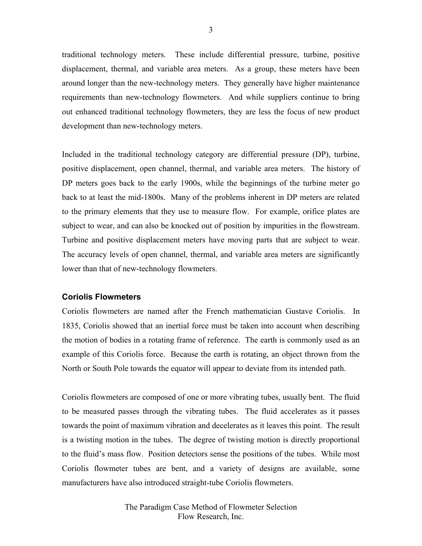traditional technology meters. These include differential pressure, turbine, positive displacement, thermal, and variable area meters. As a group, these meters have been around longer than the new-technology meters. They generally have higher maintenance requirements than new-technology flowmeters. And while suppliers continue to bring out enhanced traditional technology flowmeters, they are less the focus of new product development than new-technology meters.

Included in the traditional technology category are differential pressure (DP), turbine, positive displacement, open channel, thermal, and variable area meters. The history of DP meters goes back to the early 1900s, while the beginnings of the turbine meter go back to at least the mid-1800s. Many of the problems inherent in DP meters are related to the primary elements that they use to measure flow. For example, orifice plates are subject to wear, and can also be knocked out of position by impurities in the flowstream. Turbine and positive displacement meters have moving parts that are subject to wear. The accuracy levels of open channel, thermal, and variable area meters are significantly lower than that of new-technology flowmeters.

## **Coriolis Flowmeters**

Coriolis flowmeters are named after the French mathematician Gustave Coriolis. In 1835, Coriolis showed that an inertial force must be taken into account when describing the motion of bodies in a rotating frame of reference. The earth is commonly used as an example of this Coriolis force. Because the earth is rotating, an object thrown from the North or South Pole towards the equator will appear to deviate from its intended path.

Coriolis flowmeters are composed of one or more vibrating tubes, usually bent. The fluid to be measured passes through the vibrating tubes. The fluid accelerates as it passes towards the point of maximum vibration and decelerates as it leaves this point. The result is a twisting motion in the tubes. The degree of twisting motion is directly proportional to the fluid's mass flow. Position detectors sense the positions of the tubes. While most Coriolis flowmeter tubes are bent, and a variety of designs are available, some manufacturers have also introduced straight-tube Coriolis flowmeters.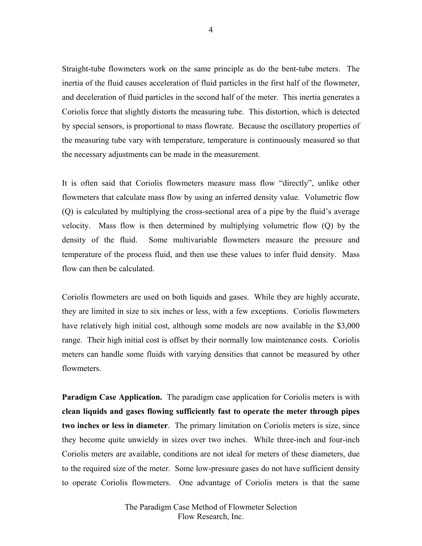Straight-tube flowmeters work on the same principle as do the bent-tube meters. The inertia of the fluid causes acceleration of fluid particles in the first half of the flowmeter, and deceleration of fluid particles in the second half of the meter. This inertia generates a Coriolis force that slightly distorts the measuring tube. This distortion, which is detected by special sensors, is proportional to mass flowrate. Because the oscillatory properties of the measuring tube vary with temperature, temperature is continuously measured so that the necessary adjustments can be made in the measurement.

It is often said that Coriolis flowmeters measure mass flow "directly", unlike other flowmeters that calculate mass flow by using an inferred density value. Volumetric flow (Q) is calculated by multiplying the cross-sectional area of a pipe by the fluid's average velocity. Mass flow is then determined by multiplying volumetric flow (Q) by the density of the fluid. Some multivariable flowmeters measure the pressure and temperature of the process fluid, and then use these values to infer fluid density. Mass flow can then be calculated.

Coriolis flowmeters are used on both liquids and gases. While they are highly accurate, they are limited in size to six inches or less, with a few exceptions. Coriolis flowmeters have relatively high initial cost, although some models are now available in the \$3,000 range. Their high initial cost is offset by their normally low maintenance costs. Coriolis meters can handle some fluids with varying densities that cannot be measured by other flowmeters.

**Paradigm Case Application.** The paradigm case application for Coriolis meters is with **clean liquids and gases flowing sufficiently fast to operate the meter through pipes two inches or less in diameter**. The primary limitation on Coriolis meters is size, since they become quite unwieldy in sizes over two inches. While three-inch and four-inch Coriolis meters are available, conditions are not ideal for meters of these diameters, due to the required size of the meter. Some low-pressure gases do not have sufficient density to operate Coriolis flowmeters. One advantage of Coriolis meters is that the same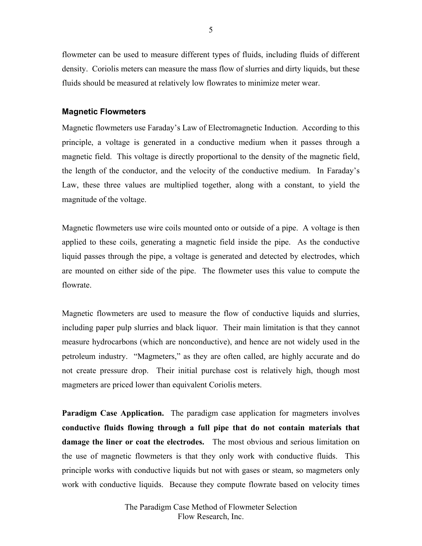flowmeter can be used to measure different types of fluids, including fluids of different density. Coriolis meters can measure the mass flow of slurries and dirty liquids, but these fluids should be measured at relatively low flowrates to minimize meter wear.

#### **Magnetic Flowmeters**

Magnetic flowmeters use Faraday's Law of Electromagnetic Induction. According to this principle, a voltage is generated in a conductive medium when it passes through a magnetic field. This voltage is directly proportional to the density of the magnetic field, the length of the conductor, and the velocity of the conductive medium. In Faraday's Law, these three values are multiplied together, along with a constant, to yield the magnitude of the voltage.

Magnetic flowmeters use wire coils mounted onto or outside of a pipe. A voltage is then applied to these coils, generating a magnetic field inside the pipe. As the conductive liquid passes through the pipe, a voltage is generated and detected by electrodes, which are mounted on either side of the pipe. The flowmeter uses this value to compute the flowrate.

Magnetic flowmeters are used to measure the flow of conductive liquids and slurries, including paper pulp slurries and black liquor. Their main limitation is that they cannot measure hydrocarbons (which are nonconductive), and hence are not widely used in the petroleum industry. "Magmeters," as they are often called, are highly accurate and do not create pressure drop. Their initial purchase cost is relatively high, though most magmeters are priced lower than equivalent Coriolis meters.

**Paradigm Case Application.** The paradigm case application for magmeters involves **conductive fluids flowing through a full pipe that do not contain materials that damage the liner or coat the electrodes.** The most obvious and serious limitation on the use of magnetic flowmeters is that they only work with conductive fluids. This principle works with conductive liquids but not with gases or steam, so magmeters only work with conductive liquids. Because they compute flowrate based on velocity times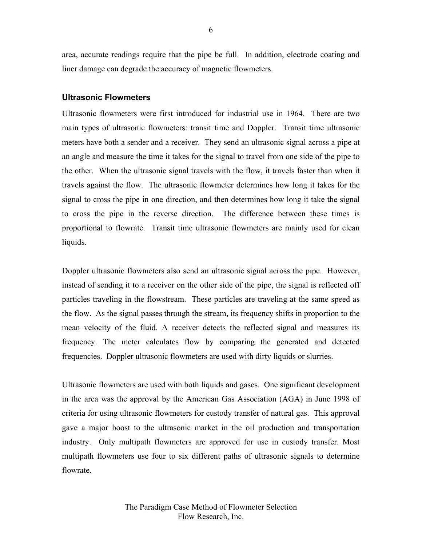area, accurate readings require that the pipe be full. In addition, electrode coating and liner damage can degrade the accuracy of magnetic flowmeters.

#### **Ultrasonic Flowmeters**

Ultrasonic flowmeters were first introduced for industrial use in 1964. There are two main types of ultrasonic flowmeters: transit time and Doppler. Transit time ultrasonic meters have both a sender and a receiver. They send an ultrasonic signal across a pipe at an angle and measure the time it takes for the signal to travel from one side of the pipe to the other. When the ultrasonic signal travels with the flow, it travels faster than when it travels against the flow. The ultrasonic flowmeter determines how long it takes for the signal to cross the pipe in one direction, and then determines how long it take the signal to cross the pipe in the reverse direction. The difference between these times is proportional to flowrate. Transit time ultrasonic flowmeters are mainly used for clean liquids.

Doppler ultrasonic flowmeters also send an ultrasonic signal across the pipe. However, instead of sending it to a receiver on the other side of the pipe, the signal is reflected off particles traveling in the flowstream. These particles are traveling at the same speed as the flow. As the signal passes through the stream, its frequency shifts in proportion to the mean velocity of the fluid. A receiver detects the reflected signal and measures its frequency. The meter calculates flow by comparing the generated and detected frequencies. Doppler ultrasonic flowmeters are used with dirty liquids or slurries.

Ultrasonic flowmeters are used with both liquids and gases. One significant development in the area was the approval by the American Gas Association (AGA) in June 1998 of criteria for using ultrasonic flowmeters for custody transfer of natural gas. This approval gave a major boost to the ultrasonic market in the oil production and transportation industry. Only multipath flowmeters are approved for use in custody transfer. Most multipath flowmeters use four to six different paths of ultrasonic signals to determine flowrate.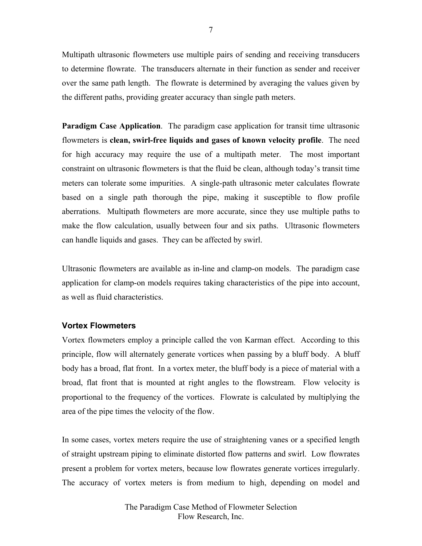Multipath ultrasonic flowmeters use multiple pairs of sending and receiving transducers to determine flowrate. The transducers alternate in their function as sender and receiver over the same path length. The flowrate is determined by averaging the values given by the different paths, providing greater accuracy than single path meters.

**Paradigm Case Application**. The paradigm case application for transit time ultrasonic flowmeters is **clean, swirl-free liquids and gases of known velocity profile**. The need for high accuracy may require the use of a multipath meter. The most important constraint on ultrasonic flowmeters is that the fluid be clean, although today's transit time meters can tolerate some impurities. A single-path ultrasonic meter calculates flowrate based on a single path thorough the pipe, making it susceptible to flow profile aberrations. Multipath flowmeters are more accurate, since they use multiple paths to make the flow calculation, usually between four and six paths. Ultrasonic flowmeters can handle liquids and gases. They can be affected by swirl.

Ultrasonic flowmeters are available as in-line and clamp-on models. The paradigm case application for clamp-on models requires taking characteristics of the pipe into account, as well as fluid characteristics.

## **Vortex Flowmeters**

Vortex flowmeters employ a principle called the von Karman effect. According to this principle, flow will alternately generate vortices when passing by a bluff body. A bluff body has a broad, flat front. In a vortex meter, the bluff body is a piece of material with a broad, flat front that is mounted at right angles to the flowstream. Flow velocity is proportional to the frequency of the vortices. Flowrate is calculated by multiplying the area of the pipe times the velocity of the flow.

In some cases, vortex meters require the use of straightening vanes or a specified length of straight upstream piping to eliminate distorted flow patterns and swirl. Low flowrates present a problem for vortex meters, because low flowrates generate vortices irregularly. The accuracy of vortex meters is from medium to high, depending on model and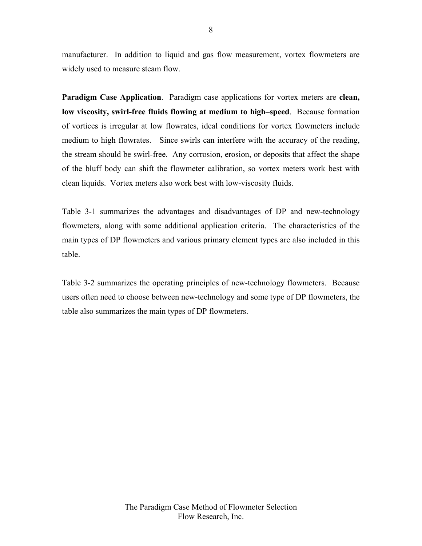manufacturer. In addition to liquid and gas flow measurement, vortex flowmeters are widely used to measure steam flow.

**Paradigm Case Application**. Paradigm case applications for vortex meters are **clean, low viscosity, swirl-free fluids flowing at medium to high–speed**. Because formation of vortices is irregular at low flowrates, ideal conditions for vortex flowmeters include medium to high flowrates. Since swirls can interfere with the accuracy of the reading, the stream should be swirl-free. Any corrosion, erosion, or deposits that affect the shape of the bluff body can shift the flowmeter calibration, so vortex meters work best with clean liquids. Vortex meters also work best with low-viscosity fluids.

Table 3-1 summarizes the advantages and disadvantages of DP and new-technology flowmeters, along with some additional application criteria. The characteristics of the main types of DP flowmeters and various primary element types are also included in this table.

Table 3-2 summarizes the operating principles of new-technology flowmeters. Because users often need to choose between new-technology and some type of DP flowmeters, the table also summarizes the main types of DP flowmeters.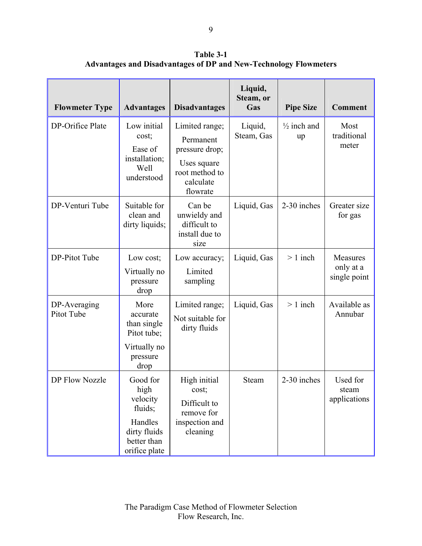**Table 3-1 Advantages and Disadvantages of DP and New-Technology Flowmeters** 

| <b>Flowmeter Type</b>      | <b>Advantages</b>                                                                                  | <b>Disadvantages</b>                                                                                    | Liquid,<br>Steam, or<br>Gas | <b>Pipe Size</b>             | <b>Comment</b>                        |
|----------------------------|----------------------------------------------------------------------------------------------------|---------------------------------------------------------------------------------------------------------|-----------------------------|------------------------------|---------------------------------------|
| DP-Orifice Plate           | Low initial<br>cost;<br>Ease of<br>installation;<br>Well<br>understood                             | Limited range;<br>Permanent<br>pressure drop;<br>Uses square<br>root method to<br>calculate<br>flowrate | Liquid,<br>Steam, Gas       | $\frac{1}{2}$ inch and<br>up | Most<br>traditional<br>meter          |
| DP-Venturi Tube            | Suitable for<br>clean and<br>dirty liquids;                                                        | Can be<br>unwieldy and<br>difficult to<br>install due to<br>size                                        | Liquid, Gas                 | 2-30 inches                  | Greater size<br>for gas               |
| DP-Pitot Tube              | Low cost;<br>Virtually no<br>pressure<br>drop                                                      | Low accuracy;<br>Limited<br>sampling                                                                    | Liquid, Gas                 | $> 1$ inch                   | Measures<br>only at a<br>single point |
| DP-Averaging<br>Pitot Tube | More<br>accurate<br>than single<br>Pitot tube;<br>Virtually no<br>pressure<br>drop                 | Limited range;<br>Not suitable for<br>dirty fluids                                                      | Liquid, Gas                 | $> 1$ inch                   | Available as<br>Annubar               |
| <b>DP Flow Nozzle</b>      | Good for<br>high<br>velocity<br>fluids;<br>Handles<br>dirty fluids<br>better than<br>orifice plate | High initial<br>cost;<br>Difficult to<br>remove for<br>inspection and<br>cleaning                       | Steam                       | 2-30 inches                  | Used for<br>steam<br>applications     |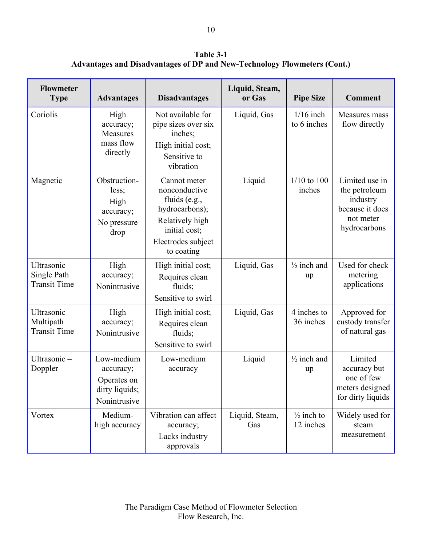**Table 3-1 Advantages and Disadvantages of DP and New-Technology Flowmeters (Cont.)** 

| <b>Flowmeter</b><br><b>Type</b>                   | <b>Advantages</b>                                                        | <b>Disadvantages</b>                                                                                                                     | Liquid, Steam,<br>or Gas | <b>Pipe Size</b>                   | <b>Comment</b>                                                                              |
|---------------------------------------------------|--------------------------------------------------------------------------|------------------------------------------------------------------------------------------------------------------------------------------|--------------------------|------------------------------------|---------------------------------------------------------------------------------------------|
| Coriolis                                          | High<br>accuracy;<br>Measures<br>mass flow<br>directly                   | Not available for<br>pipe sizes over six<br>inches;<br>High initial cost;<br>Sensitive to<br>vibration                                   | Liquid, Gas              | $1/16$ inch<br>to 6 inches         | Measures mass<br>flow directly                                                              |
| Magnetic                                          | Obstruction-<br>less;<br>High<br>accuracy;<br>No pressure<br>drop        | Cannot meter<br>nonconductive<br>fluids (e.g.,<br>hydrocarbons);<br>Relatively high<br>initial cost;<br>Electrodes subject<br>to coating | Liquid                   | $1/10$ to $100$<br>inches          | Limited use in<br>the petroleum<br>industry<br>because it does<br>not meter<br>hydrocarbons |
| Ultrasonic-<br>Single Path<br><b>Transit Time</b> | High<br>accuracy;<br>Nonintrusive                                        | High initial cost;<br>Requires clean<br>fluids;<br>Sensitive to swirl                                                                    | Liquid, Gas              | $\frac{1}{2}$ inch and<br>up       | Used for check<br>metering<br>applications                                                  |
| Ultrasonic-<br>Multipath<br><b>Transit Time</b>   | High<br>accuracy;<br>Nonintrusive                                        | High initial cost;<br>Requires clean<br>fluids;<br>Sensitive to swirl                                                                    | Liquid, Gas              | 4 inches to<br>36 inches           | Approved for<br>custody transfer<br>of natural gas                                          |
| Ultrasonic-<br>Doppler                            | Low-medium<br>accuracy;<br>Operates on<br>dirty liquids;<br>Nonintrusive | Low-medium<br>accuracy                                                                                                                   | Liquid                   | $\frac{1}{2}$ inch and<br>up       | Limited<br>accuracy but<br>one of few<br>meters designed<br>for dirty liquids               |
| Vortex                                            | Medium-<br>high accuracy                                                 | Vibration can affect<br>accuracy;<br>Lacks industry<br>approvals                                                                         | Liquid, Steam,<br>Gas    | $\frac{1}{2}$ inch to<br>12 inches | Widely used for<br>steam<br>measurement                                                     |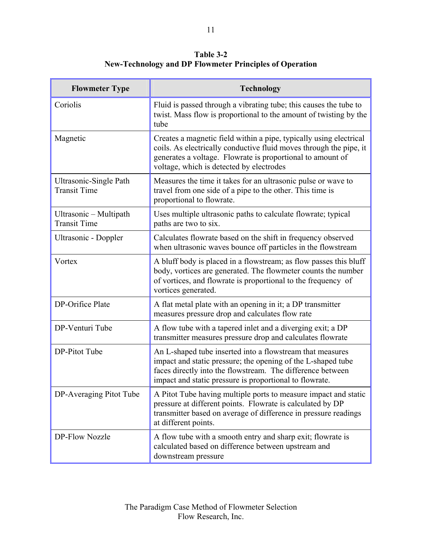**Table 3-2 New-Technology and DP Flowmeter Principles of Operation** 

| <b>Flowmeter Type</b>                                | <b>Technology</b>                                                                                                                                                                                                                                  |  |  |
|------------------------------------------------------|----------------------------------------------------------------------------------------------------------------------------------------------------------------------------------------------------------------------------------------------------|--|--|
| Coriolis                                             | Fluid is passed through a vibrating tube; this causes the tube to<br>twist. Mass flow is proportional to the amount of twisting by the<br>tube                                                                                                     |  |  |
| Magnetic                                             | Creates a magnetic field within a pipe, typically using electrical<br>coils. As electrically conductive fluid moves through the pipe, it<br>generates a voltage. Flowrate is proportional to amount of<br>voltage, which is detected by electrodes |  |  |
| <b>Ultrasonic-Single Path</b><br><b>Transit Time</b> | Measures the time it takes for an ultrasonic pulse or wave to<br>travel from one side of a pipe to the other. This time is<br>proportional to flowrate.                                                                                            |  |  |
| Ultrasonic - Multipath<br><b>Transit Time</b>        | Uses multiple ultrasonic paths to calculate flowrate; typical<br>paths are two to six.                                                                                                                                                             |  |  |
| Ultrasonic - Doppler                                 | Calculates flowrate based on the shift in frequency observed<br>when ultrasonic waves bounce off particles in the flowstream                                                                                                                       |  |  |
| Vortex                                               | A bluff body is placed in a flowstream; as flow passes this bluff<br>body, vortices are generated. The flowmeter counts the number<br>of vortices, and flowrate is proportional to the frequency of<br>vortices generated.                         |  |  |
| DP-Orifice Plate                                     | A flat metal plate with an opening in it; a DP transmitter<br>measures pressure drop and calculates flow rate                                                                                                                                      |  |  |
| DP-Venturi Tube                                      | A flow tube with a tapered inlet and a diverging exit; a DP<br>transmitter measures pressure drop and calculates flowrate                                                                                                                          |  |  |
| DP-Pitot Tube                                        | An L-shaped tube inserted into a flowstream that measures<br>impact and static pressure; the opening of the L-shaped tube<br>faces directly into the flowstream. The difference between<br>impact and static pressure is proportional to flowrate. |  |  |
| DP-Averaging Pitot Tube                              | A Pitot Tube having multiple ports to measure impact and static<br>pressure at different points. Flowrate is calculated by DP<br>transmitter based on average of difference in pressure readings<br>at different points.                           |  |  |
| <b>DP-Flow Nozzle</b>                                | A flow tube with a smooth entry and sharp exit; flow tate is<br>calculated based on difference between upstream and<br>downstream pressure                                                                                                         |  |  |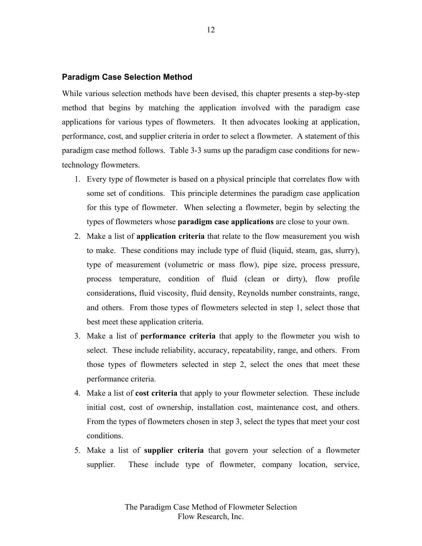#### **Paradigm Case Selection Method**

While various selection methods have been devised, this chapter presents a step-by-step method that begins by matching the application involved with the paradigm case applications for various types of flowmeters. It then advocates looking at application, performance, cost, and supplier criteria in order to select a flowmeter. A statement of this paradigm case method follows. Table 3-3 sums up the paradigm case conditions for newtechnology flowmeters.

- 1. Every type of flowmeter is based on a physical principle that correlates flow with some set of conditions. This principle determines the paradigm case application for this type of flowmeter. When selecting a flowmeter, begin by selecting the types of flowmeters whose **paradigm case applications** are close to your own.
- 2. Make a list of **application criteria** that relate to the flow measurement you wish to make. These conditions may include type of fluid (liquid, steam, gas, slurry), type of measurement (volumetric or mass flow), pipe size, process pressure, process temperature, condition of fluid (clean or dirty), flow profile considerations, fluid viscosity, fluid density, Reynolds number constraints, range, and others. From those types of flowmeters selected in step 1, select those that best meet these application criteria.
- 3. Make a list of **performance criteria** that apply to the flowmeter you wish to select. These include reliability, accuracy, repeatability, range, and others. From those types of flowmeters selected in step 2, select the ones that meet these performance criteria.
- 4. Make a list of **cost criteria** that apply to your flowmeter selection. These include initial cost, cost of ownership, installation cost, maintenance cost, and others. From the types of flowmeters chosen in step 3, select the types that meet your cost conditions.
- 5. Make a list of **supplier criteria** that govern your selection of a flowmeter supplier. These include type of flowmeter, company location, service,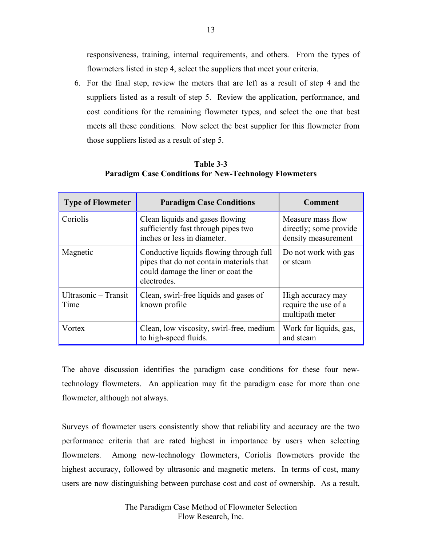responsiveness, training, internal requirements, and others. From the types of flowmeters listed in step 4, select the suppliers that meet your criteria.

6. For the final step, review the meters that are left as a result of step 4 and the suppliers listed as a result of step 5. Review the application, performance, and cost conditions for the remaining flowmeter types, and select the one that best meets all these conditions. Now select the best supplier for this flowmeter from those suppliers listed as a result of step 5.

## **Table 3-3 Paradigm Case Conditions for New-Technology Flowmeters**

| <b>Type of Flowmeter</b>     | <b>Paradigm Case Conditions</b>                                                                                                          | Comment                                                            |  |
|------------------------------|------------------------------------------------------------------------------------------------------------------------------------------|--------------------------------------------------------------------|--|
| Coriolis                     | Clean liquids and gases flowing<br>sufficiently fast through pipes two<br>inches or less in diameter.                                    | Measure mass flow<br>directly; some provide<br>density measurement |  |
| Magnetic                     | Conductive liquids flowing through full<br>pipes that do not contain materials that<br>could damage the liner or coat the<br>electrodes. | Do not work with gas<br>or steam                                   |  |
| Ultrasonic - Transit<br>Time | Clean, swirl-free liquids and gases of<br>known profile                                                                                  | High accuracy may<br>require the use of a<br>multipath meter       |  |
| Vortex                       | Clean, low viscosity, swirl-free, medium<br>to high-speed fluids.                                                                        | Work for liquids, gas,<br>and steam                                |  |

The above discussion identifies the paradigm case conditions for these four newtechnology flowmeters. An application may fit the paradigm case for more than one flowmeter, although not always.

Surveys of flowmeter users consistently show that reliability and accuracy are the two performance criteria that are rated highest in importance by users when selecting flowmeters. Among new-technology flowmeters, Coriolis flowmeters provide the highest accuracy, followed by ultrasonic and magnetic meters. In terms of cost, many users are now distinguishing between purchase cost and cost of ownership. As a result,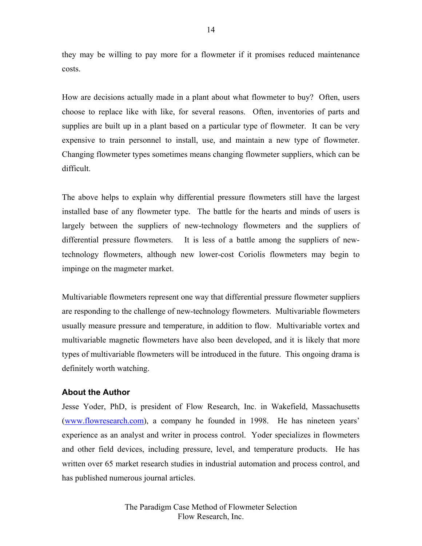they may be willing to pay more for a flowmeter if it promises reduced maintenance costs.

How are decisions actually made in a plant about what flowmeter to buy? Often, users choose to replace like with like, for several reasons. Often, inventories of parts and supplies are built up in a plant based on a particular type of flowmeter. It can be very expensive to train personnel to install, use, and maintain a new type of flowmeter. Changing flowmeter types sometimes means changing flowmeter suppliers, which can be difficult.

The above helps to explain why differential pressure flowmeters still have the largest installed base of any flowmeter type. The battle for the hearts and minds of users is largely between the suppliers of new-technology flowmeters and the suppliers of differential pressure flowmeters. It is less of a battle among the suppliers of newtechnology flowmeters, although new lower-cost Coriolis flowmeters may begin to impinge on the magmeter market.

Multivariable flowmeters represent one way that differential pressure flowmeter suppliers are responding to the challenge of new-technology flowmeters. Multivariable flowmeters usually measure pressure and temperature, in addition to flow. Multivariable vortex and multivariable magnetic flowmeters have also been developed, and it is likely that more types of multivariable flowmeters will be introduced in the future. This ongoing drama is definitely worth watching.

## **About the Author**

Jesse Yoder, PhD, is president of Flow Research, Inc. in Wakefield, Massachusetts (www.flowresearch.com), a company he founded in 1998. He has nineteen years' experience as an analyst and writer in process control. Yoder specializes in flowmeters and other field devices, including pressure, level, and temperature products. He has written over 65 market research studies in industrial automation and process control, and has published numerous journal articles.